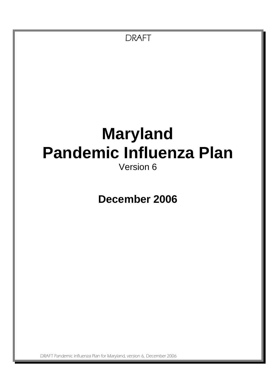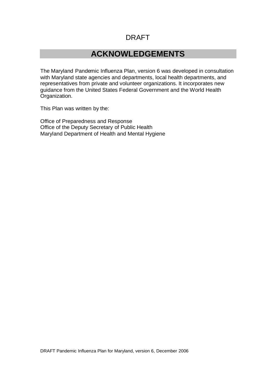### **ACKNOWLEDGEMENTS**

The Maryland Pandemic Influenza Plan, version 6 was developed in consultation with Maryland state agencies and departments, local health departments, and representatives from private and volunteer organizations. It incorporates new guidance from the United States Federal Government and the World Health Organization.

This Plan was written by the:

Office of Preparedness and Response Office of the Deputy Secretary of Public Health Maryland Department of Health and Mental Hygiene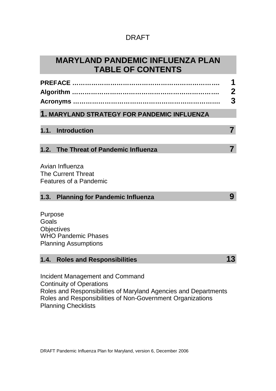| <b>MARYLAND PANDEMIC INFLUENZA PLAN</b> |
|-----------------------------------------|
| <b>TABLE OF CONTENTS</b>                |

|                                                                                                    | 1<br>$\boldsymbol{2}$<br>3 |
|----------------------------------------------------------------------------------------------------|----------------------------|
| 1. MARYLAND STRATEGY FOR PANDEMIC INFLUENZA                                                        |                            |
| 1.1. Introduction                                                                                  | $\overline{7}$             |
| 1.2. The Threat of Pandemic Influenza                                                              | 7                          |
| Avian Influenza<br><b>The Current Threat</b><br><b>Features of a Pandemic</b>                      |                            |
| 1.3.<br><b>Planning for Pandemic Influenza</b>                                                     | 9                          |
| Purpose<br>Goals<br><b>Objectives</b><br><b>WHO Pandemic Phases</b><br><b>Planning Assumptions</b> |                            |
| 1.4.<br><b>Roles and Responsibilities</b>                                                          | 13                         |
| <b>Incident Management and Command</b><br><b>Continuity of Operations</b>                          |                            |

Roles and Responsibilities of Maryland Agencies and Departments Roles and Responsibilities of Non-Government Organizations Planning Checklists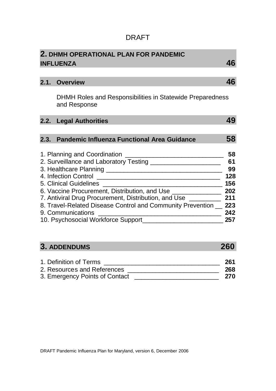|                                                                           | 46                                                                                                                                                                                                                                                                                                                                                                                                                                                 |
|---------------------------------------------------------------------------|----------------------------------------------------------------------------------------------------------------------------------------------------------------------------------------------------------------------------------------------------------------------------------------------------------------------------------------------------------------------------------------------------------------------------------------------------|
|                                                                           |                                                                                                                                                                                                                                                                                                                                                                                                                                                    |
|                                                                           | 46                                                                                                                                                                                                                                                                                                                                                                                                                                                 |
| DHMH Roles and Responsibilities in Statewide Preparedness<br>and Response |                                                                                                                                                                                                                                                                                                                                                                                                                                                    |
|                                                                           | 49                                                                                                                                                                                                                                                                                                                                                                                                                                                 |
|                                                                           | 58                                                                                                                                                                                                                                                                                                                                                                                                                                                 |
|                                                                           | 58<br>61<br>99<br>128<br>156<br>202<br>211<br>223<br>242<br>257                                                                                                                                                                                                                                                                                                                                                                                    |
|                                                                           | 2. DHMH OPERATIONAL PLAN FOR PANDEMIC<br><b>INFLUENZA</b><br>2.1. Overview<br>2.2. Legal Authorities<br>2.3. Pandemic Influenza Functional Area Guidance<br>5. Clinical Guidelines<br>6. Vaccine Procurement, Distribution, and Use ________________<br>7. Antiviral Drug Procurement, Distribution, and Use _________<br>8. Travel-Related Disease Control and Community Prevention __<br>9. Communications<br>10. Psychosocial Workforce Support |

# **3. ADDENDUMS 260**

| 1. Definition of Terms         | 261 |
|--------------------------------|-----|
| 2. Resources and References    | 268 |
| 3. Emergency Points of Contact | 270 |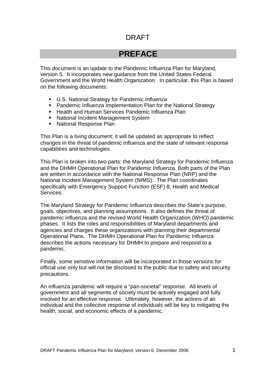### **PREFACE**

This document is an update to the Pandemic Influenza Plan for Maryland, version 5. It incorporates new guidance from the United States Federal Government and the World Health Organization. In particular, this Plan is based on the following documents:

- U.S. National Strategy for Pandemic Influenza
- **Pandemic Influenza Implementation Plan for the National Strategy**
- **Health and Human Services Pandemic Influenza Plan**
- **National Incident Management System**
- **National Response Plan**

This Plan is a living document; it will be updated as appropriate to reflect changes in the threat of pandemic influenza and the state of relevant response capabilities and technologies.

This Plan is broken into two parts: the Maryland Strategy for Pandemic Influenza and the DHMH Operational Plan for Pandemic Influenza. Both parts of the Plan are written in accordance with the National Response Plan (NRP) and the National Incident Management System (NIMS). The Plan coordinates specifically with Emergency Support Function (ESF) 8, Health and Medical Services.

The Maryland Strategy for Pandemic Influenza describes the State's purpose, goals, objectives, and planning assumptions. It also defines the threat of pandemic influenza and the revised World Health Organization (WHO) pandemic phases. It lists the roles and responsibilities of Maryland departments and agencies and charges these organizations with planning their departmental Operational Plans. The DHMH Operational Plan for Pandemic Influenza describes the actions necessary for DHMH to prepare and respond to a pandemic.

Finally, some sensitive information will be incorporated in those versions for official use only but will not be disclosed to the public due to safety and security precautions.

An influenza pandemic will require a "pan-societal" response. All levels of government and all segments of society must be actively engaged and fully involved for an effective response. Ultimately, however, the actions of an individual and the collective response of individuals will be key to mitigating the health, social, and economic effects of a pandemic.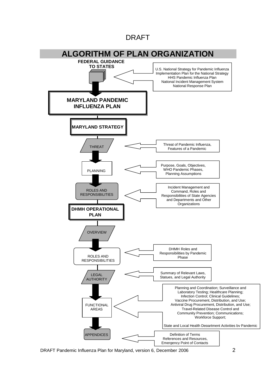

DRAFT Pandemic Influenza Plan for Maryland, version 6, December 2006 2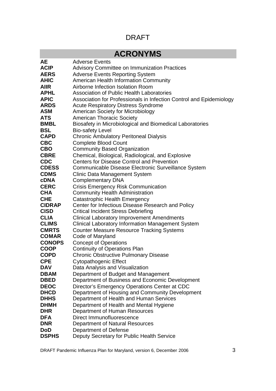# **ACRONYMS**

| AЕ                         | <b>Adverse Events</b>                                                                      |  |  |
|----------------------------|--------------------------------------------------------------------------------------------|--|--|
| <b>ACIP</b>                | <b>Advisory Committee on Immunization Practices</b>                                        |  |  |
| <b>AERS</b>                | <b>Adverse Events Reporting System</b>                                                     |  |  |
| <b>AHIC</b>                | American Health Information Community                                                      |  |  |
| <b>AIIR</b>                | Airborne Infection Isolation Room                                                          |  |  |
| <b>APHL</b>                | <b>Association of Public Health Laboratories</b>                                           |  |  |
| <b>APIC</b>                | Association for Professionals in Infection Control and Epidemiology                        |  |  |
| <b>ARDS</b>                | <b>Acute Respiratory Distress Syndrome</b>                                                 |  |  |
| <b>ASM</b>                 | <b>American Society for Microbiology</b>                                                   |  |  |
| <b>ATS</b>                 | <b>American Thoracic Society</b>                                                           |  |  |
| <b>BMBL</b>                | Biosafety in Microbiological and Biomedical Laboratories                                   |  |  |
| <b>BSL</b>                 | <b>Bio-safety Level</b>                                                                    |  |  |
| <b>CAPD</b>                | <b>Chronic Ambulatory Peritoneal Dialysis</b>                                              |  |  |
| <b>CBC</b>                 | <b>Complete Blood Count</b>                                                                |  |  |
| <b>CBO</b>                 | <b>Community Based Organization</b>                                                        |  |  |
| <b>CBRE</b>                | Chemical, Biological, Radiological, and Explosive                                          |  |  |
| <b>CDC</b>                 | <b>Centers for Disease Control and Prevention</b>                                          |  |  |
| <b>CDESS</b>               | Communicable Disease Electronic Surveillance System                                        |  |  |
| <b>CDMS</b>                | <b>Clinic Data Management System</b>                                                       |  |  |
| <b>cDNA</b>                | <b>Complementary DNA</b>                                                                   |  |  |
| <b>CERC</b>                | <b>Crisis Emergency Risk Communication</b>                                                 |  |  |
| <b>CHA</b>                 | <b>Community Health Administration</b>                                                     |  |  |
| <b>CHE</b>                 | Catastrophic Health Emergency                                                              |  |  |
| <b>CIDRAP</b>              | Center for Infectious Disease Research and Policy                                          |  |  |
| <b>CISD</b>                | <b>Critical Incident Stress Debriefing</b>                                                 |  |  |
| <b>CLIA</b>                | <b>Clinical Laboratory Improvement Amendments</b>                                          |  |  |
| <b>CLIMS</b>               | Clinical Laboratory Information Management System                                          |  |  |
| <b>CMRTS</b>               | <b>Counter Measure Resource Tracking Systems</b>                                           |  |  |
| <b>COMAR</b>               | Code of Maryland                                                                           |  |  |
| <b>CONOPS</b>              | <b>Concept of Operations</b>                                                               |  |  |
| <b>COOP</b>                | <b>Continuity of Operations Plan</b>                                                       |  |  |
| <b>COPD</b>                | <b>Chronic Obstructive Pulmonary Disease</b>                                               |  |  |
| <b>CPE</b>                 | Cytopathogenic Effect                                                                      |  |  |
| DAV                        | Data Analysis and Visualization                                                            |  |  |
| <b>DBAM</b><br><b>DBED</b> | Department of Budget and Management                                                        |  |  |
|                            | Department of Business and Economic Development                                            |  |  |
| <b>DEOC</b><br><b>DHCD</b> | Director's Emergency Operations Center at CDC                                              |  |  |
| <b>DHHS</b>                | Department of Housing and Community Development<br>Department of Health and Human Services |  |  |
| <b>DHMH</b>                | Department of Health and Mental Hygiene                                                    |  |  |
| <b>DHR</b>                 | Department of Human Resources                                                              |  |  |
| <b>DFA</b>                 | Direct Immunofluorescence                                                                  |  |  |
| <b>DNR</b>                 |                                                                                            |  |  |
| <b>DoD</b>                 | Department of Natural Resources                                                            |  |  |
|                            | Department of Defense                                                                      |  |  |
| <b>DSPHS</b>               | Deputy Secretary for Public Health Service                                                 |  |  |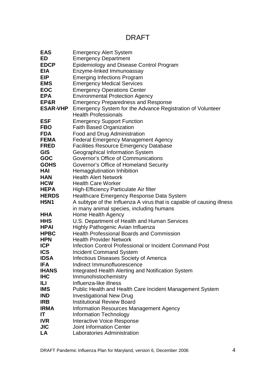| <b>EAS</b>                 | <b>Emergency Alert System</b>                                         |  |  |
|----------------------------|-----------------------------------------------------------------------|--|--|
| ED                         | <b>Emergency Department</b>                                           |  |  |
| <b>EDCP</b>                | Epidemiology and Disease Control Program                              |  |  |
| <b>EIA</b>                 | Enzyme-linked Immunoassay                                             |  |  |
| <b>EIP</b>                 | <b>Emerging Infections Program</b>                                    |  |  |
| <b>EMS</b>                 | <b>Emergency Medical Services</b>                                     |  |  |
| <b>EOC</b>                 | <b>Emergency Operations Center</b>                                    |  |  |
| <b>EPA</b>                 | <b>Environmental Protection Agency</b>                                |  |  |
| EP&R                       | <b>Emergency Preparedness and Response</b>                            |  |  |
| <b>ESAR-VHP</b>            | Emergency System for the Advance Registration of Volunteer            |  |  |
|                            | <b>Health Professionals</b>                                           |  |  |
| <b>ESF</b>                 | <b>Emergency Support Function</b>                                     |  |  |
| <b>FBO</b>                 | <b>Faith Based Organization</b>                                       |  |  |
| <b>FDA</b>                 | Food and Drug Administration                                          |  |  |
| <b>FEMA</b>                | <b>Federal Emergency Management Agency</b>                            |  |  |
| <b>FRED</b>                | <b>Facilities Resource Emergency Database</b>                         |  |  |
| <b>GIS</b>                 | Geographical Information System                                       |  |  |
| <b>GOC</b>                 | Governor's Office of Communications                                   |  |  |
| <b>GOHS</b>                | Governor's Office of Homeland Security                                |  |  |
| HAI                        | Hemagglutination Inhibition                                           |  |  |
| <b>HAN</b>                 | <b>Health Alert Network</b>                                           |  |  |
| <b>HCW</b>                 | <b>Health Care Worker</b>                                             |  |  |
| <b>HEPA</b>                | High-Efficiency Particulate Air filter                                |  |  |
| <b>HERDS</b>               | Healthcare Emergency Response Data System                             |  |  |
| <b>H5N1</b>                | A subtype of the Influenza A virus that is capable of causing illness |  |  |
|                            | in many animal species, including humans                              |  |  |
| HHA                        | Home Health Agency                                                    |  |  |
| <b>HHS</b>                 | U.S. Department of Health and Human Services                          |  |  |
| <b>HPAI</b>                | Highly Pathogenic Avian Influenza                                     |  |  |
| <b>HPBC</b>                | <b>Health Professional Boards and Commission</b>                      |  |  |
| <b>HPN</b>                 | <b>Health Provider Network</b>                                        |  |  |
| <b>ICP</b>                 | Infection Control Professional or Incident Command Post               |  |  |
| <b>ICS</b>                 | <b>Incident Command System</b>                                        |  |  |
| <b>IDSA</b>                | Infectious Diseases Society of America                                |  |  |
| <b>IFA</b>                 | Indirect Immunofluorescence                                           |  |  |
| <b>IHANS</b><br><b>IHC</b> | Integrated Health Alerting and Notification System                    |  |  |
|                            | Immunohistochemistry                                                  |  |  |
| ILI.<br><b>IMS</b>         | Influenza-like illness                                                |  |  |
|                            | Public Health and Health Care Incident Management System              |  |  |
| <b>IND</b><br><b>IRB</b>   | <b>Investigational New Drug</b><br><b>Institutional Review Board</b>  |  |  |
| <b>IRMA</b>                | <b>Information Resources Management Agency</b>                        |  |  |
| IT                         | <b>Information Technology</b>                                         |  |  |
| <b>IVR</b>                 | <b>Interactive Voice Response</b>                                     |  |  |
| <b>JIC</b>                 | <b>Joint Information Center</b>                                       |  |  |
| LA                         | Laboratories Administration                                           |  |  |
|                            |                                                                       |  |  |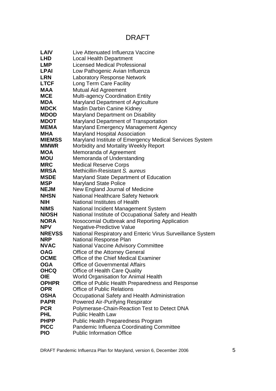| <b>LAIV</b>                  | Live Attenuated Influenza Vaccine                                                                |
|------------------------------|--------------------------------------------------------------------------------------------------|
| <b>LHD</b>                   | <b>Local Health Department</b>                                                                   |
| <b>LMP</b>                   | <b>Licensed Medical Professional</b>                                                             |
| <b>LPAI</b>                  | Low Pathogenic Avian Influenza                                                                   |
| <b>LRN</b>                   | <b>Laboratory Response Network</b>                                                               |
| <b>LTCF</b>                  | Long Term Care Facility                                                                          |
| <b>MAA</b>                   | Mutual Aid Agreement                                                                             |
| <b>MCE</b>                   | <b>Multi-agency Coordination Entity</b>                                                          |
| <b>MDA</b>                   | Maryland Department of Agriculture                                                               |
| <b>MDCK</b>                  | Madin Darbin Canine Kidney                                                                       |
| <b>MDOD</b>                  | Maryland Department on Disability                                                                |
| <b>MDOT</b>                  | Maryland Department of Transportation                                                            |
| <b>MEMA</b>                  | Maryland Emergency Management Agency                                                             |
| <b>MHA</b>                   | <b>Maryland Hospital Association</b>                                                             |
| <b>MIEMSS</b><br><b>MMWR</b> | Maryland Institute of Emergency Medical Services System<br>Morbidity and Mortality Weekly Report |
| <b>MOA</b>                   | Memoranda of Agreement                                                                           |
| <b>MOU</b>                   | Memoranda of Understanding                                                                       |
| <b>MRC</b>                   | <b>Medical Reserve Corps</b>                                                                     |
| <b>MRSA</b>                  | Methicillin-Resistant S. aureus                                                                  |
| <b>MSDE</b>                  | Maryland State Department of Education                                                           |
| <b>MSP</b>                   | <b>Maryland State Police</b>                                                                     |
| <b>NEJM</b>                  | New England Journal of Medicine                                                                  |
| <b>NHSN</b>                  | <b>National Healthcare Safety Network</b>                                                        |
| <b>NIH</b>                   | National Institutes of Health                                                                    |
| <b>NIMS</b>                  | National Incident Management System                                                              |
| <b>NIOSH</b>                 | National Institute of Occupational Safety and Health                                             |
| <b>NORA</b><br><b>NPV</b>    | Nosocomial Outbreak and Reporting Application                                                    |
| <b>NREVSS</b>                | <b>Negative-Predictive Value</b>                                                                 |
| <b>NRP</b>                   | National Respiratory and Enteric Virus Surveillance System<br>National Response Plan             |
| <b>NVAC</b>                  | <b>National Vaccine Advisory Committee</b>                                                       |
| <b>OAG</b>                   | Office of the Attorney General                                                                   |
| OCME                         | Office of the Chief Medical Examiner                                                             |
| <b>OGA</b>                   | <b>Office of Governmental Affairs</b>                                                            |
| <b>OHCQ</b>                  | <b>Office of Health Care Quality</b>                                                             |
| <b>OIE</b>                   | World Organisation for Animal Health                                                             |
| <b>OPHPR</b>                 | Office of Public Health Preparedness and Response                                                |
| <b>OPR</b>                   | <b>Office of Public Relations</b>                                                                |
| <b>OSHA</b>                  | Occupational Safety and Health Administration                                                    |
| <b>PAPR</b>                  | Powered Air-Purifying Respirator                                                                 |
| <b>PCR</b>                   | Polymerase-Chain-Reaction Test to Detect DNA                                                     |
| <b>PHL</b>                   | <b>Public Health Law</b>                                                                         |
| <b>PHPP</b>                  | Public Health Preparedness Program                                                               |
| <b>PICC</b>                  | Pandemic Influenza Coordinating Committee                                                        |
| <b>PIO</b>                   | <b>Public Information Office</b>                                                                 |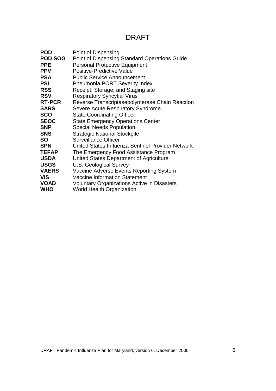| <b>POD</b>     | Point of Dispensing                                |
|----------------|----------------------------------------------------|
| <b>POD SOG</b> | Point of Dispensing Standard Operations Guide      |
| <b>PPE</b>     | <b>Personal Protective Equipment</b>               |
| <b>PPV</b>     | Positive-Predictive Value                          |
| <b>PSA</b>     | <b>Public Service Announcement</b>                 |
| <b>PSI</b>     | <b>Pneumonia PORT Severity Index</b>               |
| <b>RSS</b>     | Receipt, Storage, and Staging site                 |
| <b>RSV</b>     | <b>Respiratory Syncytial Virus</b>                 |
| <b>RT-PCR</b>  | Reverse Transcriptasepolymerase Chain Reaction     |
| <b>SARS</b>    | Severe Acute Respiratory Syndrome                  |
| <b>SCO</b>     | <b>State Coordinating Officer</b>                  |
| <b>SEOC</b>    | <b>State Emergency Operations Center</b>           |
| <b>SNP</b>     | <b>Special Needs Population</b>                    |
| <b>SNS</b>     | <b>Strategic National Stockpile</b>                |
| <b>SO</b>      | <b>Surveillance Officer</b>                        |
| <b>SPN</b>     | United States Influenza Sentinel Provider Network  |
| <b>TEFAP</b>   | The Emergency Food Assistance Program              |
| <b>USDA</b>    | United States Department of Agriculture            |
| <b>USGS</b>    | U.S. Geological Survey                             |
| <b>VAERS</b>   | Vaccine Adverse Events Reporting System            |
| <b>VIS</b>     | <b>Vaccine Information Statement</b>               |
| <b>VOAD</b>    | <b>Voluntary Organizations Active in Disasters</b> |
| <b>WHO</b>     | <b>World Health Organization</b>                   |
|                |                                                    |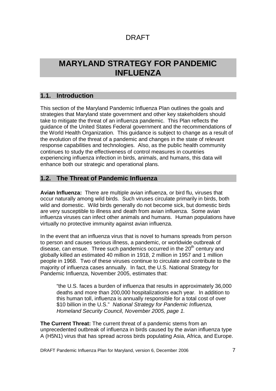## **MARYLAND STRATEGY FOR PANDEMIC INFLUENZA**

### **1.1. Introduction**

This section of the Maryland Pandemic Influenza Plan outlines the goals and strategies that Maryland state government and other key stakeholders should take to mitigate the threat of an influenza pandemic. This Plan reflects the guidance of the United States Federal government and the recommendations of the World Health Organization. This guidance is subject to change as a result of the evolution of the threat of a pandemic and changes in the state of relevant response capabilities and technologies. Also, as the public health community continues to study the effectiveness of control measures in countries experiencing influenza infection in birds, animals, and humans, this data will enhance both our strategic and operational plans.

#### **1.2. The Threat of Pandemic Influenza**

**Avian Influenza:** There are multiple avian influenza, or bird flu, viruses that occur naturally among wild birds. Such viruses circulate primarily in birds, both wild and domestic. Wild birds generally do not become sick, but domestic birds are very susceptible to illness and death from avian influenza. Some avian influenza viruses can infect other animals and humans. Human populations have virtually no protective immunity against avian influenza.

In the event that an influenza virus that is novel to humans spreads from person to person and causes serious illness, a pandemic, or worldwide outbreak of disease, can ensue. Three such pandemics occurred in the  $20<sup>th</sup>$  centurv and globally killed an estimated 40 million in 1918, 2 million in 1957 and 1 million people in 1968. Two of these viruses continue to circulate and contribute to the majority of influenza cases annually. In fact, the U.S. National Strategy for Pandemic Influenza, November 2005, estimates that:

"the U.S. faces a burden of influenza that results in approximately 36,000 deaths and more than 200,000 hospitalizations each year. In addition to this human toll, influenza is annually responsible for a total cost of over \$10 billion in the U.S." *National Strategy for Pandemic Influenza, Homeland Security Council, November 2005, page 1.*

**The Current Threat:** The current threat of a pandemic stems from an unprecedented outbreak of influenza in birds caused by the avian influenza type A (H5N1) virus that has spread across birds populating Asia, Africa, and Europe.

DRAFT Pandemic Influenza Plan for Maryland, version 6, December 2006 7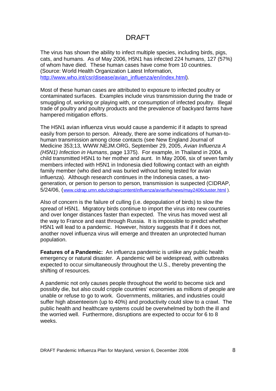The virus has shown the ability to infect multiple species, including birds, pigs, cats, and humans. As of May 2006, H5N1 has infected 224 humans, 127 (57%) of whom have died. These human cases have come from 10 countries. (Source: World Health Organization Latest Information, http://www.who.int/csr/disease/avian\_influenza/en/index.html).

Most of these human cases are attributed to exposure to infected poultry or contaminated surfaces. Examples include virus transmission during the trade or smuggling of, working or playing with, or consumption of infected poultry. Illegal trade of poultry and poultry products and the prevalence of backyard farms have hampered mitigation efforts.

The H5N1 avian influenza virus would cause a pandemic if it adapts to spread easily from person to person. Already, there are some indications of human-tohuman transmission among close contacts (see New England Journal of Medicine 353;13, WWW.NEJM.ORG, September 29, 2005, *Avian Influenza A (H5N1) Infection in Humans*, page 1375). For example, in Thailand in 2004, a child transmitted H5N1 to her mother and aunt. In May 2006, six of seven family members infected with H5N1 in Indonesia died following contact with an eighth family member (who died and was buried without being tested for avian influenza). Although research continues in the Indonesia cases, a twogeneration, or person to person to person, transmission is suspected (CIDRAP, 5/24/06, (www.cidrap.umn.edu/cidrap/content/influenza/avianflu/news/may2406cluster.html ).

Also of concern is the failure of culling (i.e. depopulation of birds) to slow the spread of H5N1. Migratory birds continue to import the virus into new countries and over longer distances faster than expected. The virus has moved west all the way to France and east through Russia. It is impossible to predict whether H5N1 will lead to a pandemic. However, history suggests that if it does not, another novel influenza virus will emerge and threaten an unprotected human population.

**Features of a Pandemic:** An influenza pandemic is unlike any public health emergency or natural disaster. A pandemic will be widespread, with outbreaks expected to occur simultaneously throughout the U.S., thereby preventing the shifting of resources.

A pandemic not only causes people throughout the world to become sick and possibly die, but also could cripple countries' economies as millions of people are unable or refuse to go to work. Governments, militaries, and industries could suffer high absenteeism (up to 40%) and productivity could slow to a crawl. The public health and healthcare systems could be overwhelmed by both the ill and the worried well. Furthermore, disruptions are expected to occur for 6 to 8 weeks.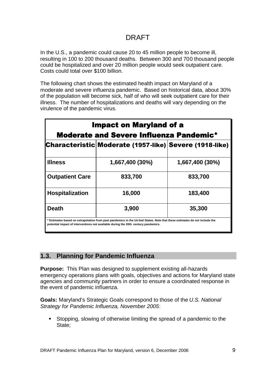In the U.S., a pandemic could cause 20 to 45 million people to become ill, resulting in 100 to 200 thousand deaths. Between 300 and 700 thousand people could be hospitalized and over 20 million people would seek outpatient care. Costs could total over \$100 billion.

The following chart shows the estimated health impact on Maryland of a moderate and severe influenza pandemic. Based on historical data, about 30% of the population will become sick, half of who will seek outpatient care for their illness. The number of hospitalizations and deaths will vary depending on the virulence of the pandemic virus.

| <b>Impact on Maryland of a</b><br><b>Moderate and Severe Influenza Pandemic*</b> |                                                                                                                                                                                                                 |                 |  |
|----------------------------------------------------------------------------------|-----------------------------------------------------------------------------------------------------------------------------------------------------------------------------------------------------------------|-----------------|--|
|                                                                                  | Characteristic Moderate (1957-like) Severe (1918-like)                                                                                                                                                          |                 |  |
| <b>Illness</b>                                                                   | 1,667,400 (30%)                                                                                                                                                                                                 | 1,667,400 (30%) |  |
| <b>Outpatient Care</b>                                                           | 833,700                                                                                                                                                                                                         | 833,700         |  |
| <b>Hospitalization</b>                                                           | 16,000                                                                                                                                                                                                          | 183,400         |  |
| <b>Death</b>                                                                     | 3,900                                                                                                                                                                                                           | 35,300          |  |
|                                                                                  | * Estimates based on extrapolation from past pandemics in the United States. Note that these estimates do not include the<br>potential impact of interventions not available during the 20th century pandemics. |                 |  |

#### **1.3. Planning for Pandemic Influenza**

**Purpose:** This Plan was designed to supplement existing all-hazards emergency operations plans with goals, objectives and actions for Maryland state agencies and community partners in order to ensure a coordinated response in the event of pandemic influenza.

**Goals:** Maryland's Strategic Goals correspond to those of the *U.S. National Strategy for Pandemic Influenza, November 2005*:

 Stopping, slowing of otherwise limiting the spread of a pandemic to the State;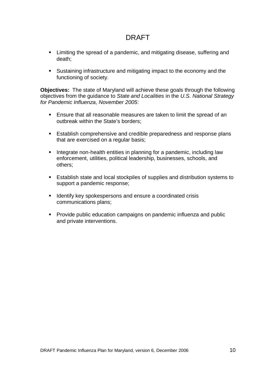- Limiting the spread of a pandemic, and mitigating disease, suffering and death;
- Sustaining infrastructure and mitigating impact to the economy and the functioning of society.

**Objectives:** The state of Maryland will achieve these goals through the following objectives from the guidance to *State and Localities* in the *U.S. National Strategy for Pandemic Influenza, November 2005*:

- Ensure that all reasonable measures are taken to limit the spread of an outbreak within the State's borders;
- **Establish comprehensive and credible preparedness and response plans** that are exercised on a regular basis;
- Integrate non-health entities in planning for a pandemic, including law enforcement, utilities, political leadership, businesses, schools, and others;
- Establish state and local stockpiles of supplies and distribution systems to support a pandemic response;
- **If Identify key spokespersons and ensure a coordinated crisis** communications plans;
- **Provide public education campaigns on pandemic influenza and public** and private interventions.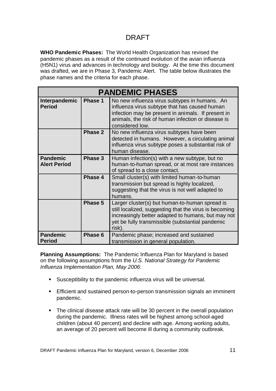**WHO Pandemic Phases:** The World Health Organization has revised the pandemic phases as a result of the continued evolution of the avian influenza (H5N1) virus and advances in technology and biology. At the time this document was drafted, we are in Phase 3, Pandemic Alert. The table below illustrates the phase names and the criteria for each phase.

| <b>PANDEMIC PHASES</b>                 |         |                                                                                                                                                                                                                               |
|----------------------------------------|---------|-------------------------------------------------------------------------------------------------------------------------------------------------------------------------------------------------------------------------------|
| Interpandemic<br><b>Period</b>         | Phase 1 | No new influenza virus subtypes in humans. An<br>influenza virus subtype that has caused human<br>infection may be present in animals. If present in<br>animals, the risk of human infection or disease is<br>considered low. |
|                                        | Phase 2 | No new influenza virus subtypes have been<br>detected in humans. However, a circulating animal<br>influenza virus subtype poses a substantial risk of<br>human disease.                                                       |
| <b>Pandemic</b><br><b>Alert Period</b> | Phase 3 | Human infection(s) with a new subtype, but no<br>human-to-human spread, or at most rare instances<br>of spread to a close contact.                                                                                            |
|                                        | Phase 4 | Small cluster(s) with limited human-to-human<br>transmission but spread is highly localized,<br>suggesting that the virus is not well adapted to<br>humans.                                                                   |
|                                        | Phase 5 | Larger cluster(s) but human-to-human spread is<br>still localized, suggesting that the virus is becoming<br>increasingly better adapted to humans, but may not<br>yet be fully transmissible (substantial pandemic<br>risk).  |
| <b>Pandemic</b><br><b>Period</b>       | Phase 6 | Pandemic phase; increased and sustained<br>transmission in general population.                                                                                                                                                |

**Planning Assumptions:** The Pandemic Influenza Plan for Maryland is based on the following assumptions from the *U.S. National Strategy for Pandemic Influenza Implementation Plan, May 2006*:

- Susceptibility to the pandemic influenza virus will be universal.
- **Efficient and sustained person-to-person transmission signals an imminent** pandemic.
- The clinical disease attack rate will be 30 percent in the overall population during the pandemic. Illness rates will be highest among school-aged children (about 40 percent) and decline with age. Among working adults, an average of 20 percent will become ill during a community outbreak.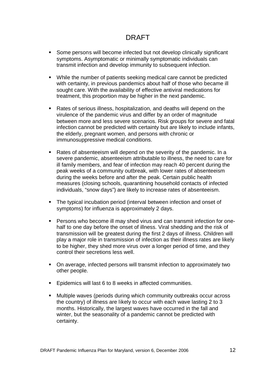- Some persons will become infected but not develop clinically significant symptoms. Asymptomatic or minimally symptomatic individuals can transmit infection and develop immunity to subsequent infection.
- While the number of patients seeking medical care cannot be predicted with certainty, in previous pandemics about half of those who became ill sought care. With the availability of effective antiviral medications for treatment, this proportion may be higher in the next pandemic.
- Rates of serious illness, hospitalization, and deaths will depend on the virulence of the pandemic virus and differ by an order of magnitude between more and less severe scenarios. Risk groups for severe and fatal infection cannot be predicted with certainty but are likely to include infants, the elderly, pregnant women, and persons with chronic or immunosuppressive medical conditions.
- Rates of absenteeism will depend on the severity of the pandemic. In a severe pandemic, absenteeism attributable to illness, the need to care for ill family members, and fear of infection may reach 40 percent during the peak weeks of a community outbreak, with lower rates of absenteeism during the weeks before and after the peak. Certain public health measures (closing schools, quarantining household contacts of infected individuals, "snow days") are likely to increase rates of absenteeism.
- The typical incubation period (interval between infection and onset of symptoms) for influenza is approximately 2 days.
- Persons who become ill may shed virus and can transmit infection for onehalf to one day before the onset of illness. Viral shedding and the risk of transmission will be greatest during the first 2 days of illness. Children will play a major role in transmission of infection as their illness rates are likely to be higher, they shed more virus over a longer period of time, and they control their secretions less well.
- On average, infected persons will transmit infection to approximately two other people.
- **Epidemics will last 6 to 8 weeks in affected communities.**
- Multiple waves (periods during which community outbreaks occur across the country) of illness are likely to occur with each wave lasting 2 to 3 months. Historically, the largest waves have occurred in the fall and winter, but the seasonality of a pandemic cannot be predicted with certainty.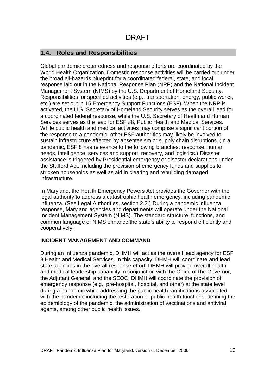#### **1.4. Roles and Responsibilities**

Global pandemic preparedness and response efforts are coordinated by the World Health Organization. Domestic response activities will be carried out under the broad all-hazards blueprint for a coordinated federal, state, and local response laid out in the National Response Plan (NRP) and the National Incident Management System (NIMS) by the U.S. Department of Homeland Security. Responsibilities for specified activities (e.g., transportation, energy, public works, etc.) are set out in 15 Emergency Support Functions (ESF). When the NRP is activated, the U.S. Secretary of Homeland Security serves as the overall lead for a coordinated federal response, while the U.S. Secretary of Health and Human Services serves as the lead for ESF #8, Public Health and Medical Services. While public health and medical activities may comprise a significant portion of the response to a pandemic, other ESF authorities may likely be involved to sustain infrastructure affected by absenteeism or supply chain disruptions. (In a pandemic, ESF 8 has relevance to the following branches: response, human needs, intelligence, services and support, recovery, and logistics.) Disaster assistance is triggered by Presidential emergency or disaster declarations under the Stafford Act, including the provision of emergency funds and supplies to stricken households as well as aid in clearing and rebuilding damaged infrastructure.

In Maryland, the Health Emergency Powers Act provides the Governor with the legal authority to address a catastrophic health emergency, including pandemic influenza. (See Legal Authorities, section 2.2.) During a pandemic influenza response, Maryland agencies and departments will operate under the National Incident Management System (NIMS). The standard structure, functions, and common language of NIMS enhance the state's ability to respond efficiently and cooperatively.

#### **INCIDENT MANAGEMENT AND COMMAND**

During an influenza pandemic, DHMH will act as the overall lead agency for ESF 8 Health and Medical Services. In this capacity, DHMH will coordinate and lead state agencies in the overall response effort. DHMH will provide overall health and medical leadership capability in conjunction with the Office of the Governor, the Adjutant General, and the SEOC. DHMH will coordinate the provision of emergency response (e.g., pre-hospital, hospital, and other) at the state level during a pandemic while addressing the public health ramifications associated with the pandemic including the restoration of public health functions, defining the epidemiology of the pandemic, the administration of vaccinations and antiviral agents, among other public health issues.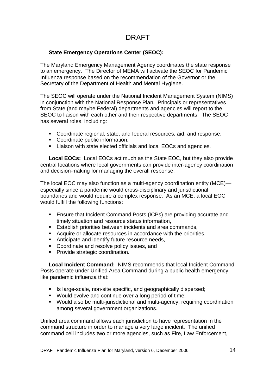#### **State Emergency Operations Center (SEOC):**

The Maryland Emergency Management Agency coordinates the state response to an emergency. The Director of MEMA will activate the SEOC for Pandemic Influenza response based on the recommendation of the Governor or the Secretary of the Department of Health and Mental Hygiene.

The SEOC will operate under the National Incident Management System (NIMS) in conjunction with the National Response Plan. Principals or representatives from State (and maybe Federal) departments and agencies will report to the SEOC to liaison with each other and their respective departments. The SEOC has several roles, including:

- Coordinate regional, state, and federal resources, aid, and response;
- Coordinate public information;
- **EXECT** Liaison with state elected officials and local EOCs and agencies.

**Local EOCs:** Local EOCs act much as the State EOC, but they also provide central locations where local governments can provide inter-agency coordination and decision-making for managing the overall response.

The local EOC may also function as a multi-agency coordination entity (MCE) especially since a pandemic would cross-disciplinary and jurisdictional boundaries and would require a complex response. As an MCE, a local EOC would fulfill the following functions:

- Ensure that Incident Command Posts (ICPs) are providing accurate and timely situation and resource status information,
- **Establish priorities between incidents and area commands,**
- Acquire or allocate resources in accordance with the priorities,
- Anticipate and identify future resource needs,
- **Coordinate and resolve policy issues, and**
- **Provide strategic coordination.**

**Local Incident Command:** NIMS recommends that local Incident Command Posts operate under Unified Area Command during a public health emergency like pandemic influenza that:

- Is large-scale, non-site specific, and geographically dispersed;
- Would evolve and continue over a long period of time;
- Would also be multi-jurisdictional and multi-agency, requiring coordination among several government organizations.

Unified area command allows each jurisdiction to have representation in the command structure in order to manage a very large incident. The unified command cell includes two or more agencies, such as Fire, Law Enforcement,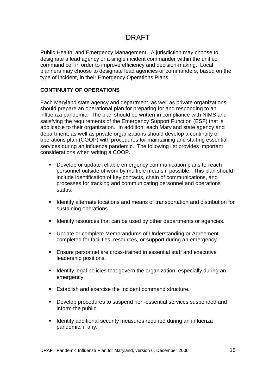Public Health, and Emergency Management. A jurisdiction may choose to designate a lead agency or a single incident commander within the unified command cell in order to improve efficiency and decision-making. Local planners may choose to designate lead agencies or commanders, based on the type of incident, in their Emergency Operations Plans.

#### **CONTINUITY OF OPERATIONS**

Each Maryland state agency and department, as well as private organizations should prepare an operational plan for preparing for and responding to an influenza pandemic. The plan should be written in compliance with NIMS and satisfying the requirements of the Emergency Support Function (ESF) that is applicable to their organization. In addition, each Maryland state agency and department, as well as private organizations should develop a continuity of operations plan (COOP) with procedures for maintaining and staffing essential services during an influenza pandemic. The following list provides important considerations when writing a COOP.

- **Develop or update reliable emergency communication plans to reach** personnel outside of work by multiple means if possible. This plan should include identification of key contacts, chain of communications, and processes for tracking and communicating personnel and operations status.
- **IDENTIFY IDENTIFY Alternate locations and means of transportation and distribution for** sustaining operations.
- I dentify resources that can be used by other departments or agencies.
- **Update or complete Memorandums of Understanding or Agreement** completed for facilities, resources, or support during an emergency.
- Ensure personnel are cross-trained in essential staff and executive leadership positions.
- **If identify legal policies that govern the organization, especially during an** emergency.
- **Establish and exercise the incident command structure.**
- Develop procedures to suspend non-essential services suspended and inform the public.
- **If all identify additional security measures required during an influenza** pandemic, if any.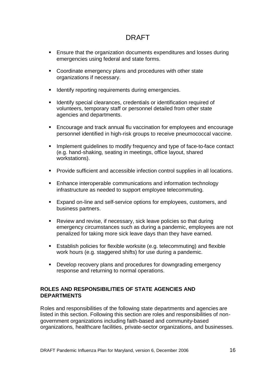- **Ensure that the organization documents expenditures and losses during** emergencies using federal and state forms.
- **Coordinate emergency plans and procedures with other state** organizations if necessary.
- **IDENTIFY IDENTIFY IDENTIFY** reporting requirements during emergencies.
- **IDENTIFY** special clearances, credentials or identification required of volunteers, temporary staff or personnel detailed from other state agencies and departments.
- Encourage and track annual flu vaccination for employees and encourage personnel identified in high-risk groups to receive pneumococcal vaccine.
- **IMPLEMENT IMPLEMENT IMPLEM** Implement and type of face-to-face contact (e.g. hand-shaking, seating in meetings, office layout, shared workstations).
- **Provide sufficient and accessible infection control supplies in all locations.**
- **Enhance interoperable communications and information technology** infrastructure as needed to support employee telecommuting.
- **Expand on-line and self-service options for employees, customers, and** business partners.
- Review and revise, if necessary, sick leave policies so that during emergency circumstances such as during a pandemic, employees are not penalized for taking more sick leave days than they have earned.
- **Establish policies for flexible worksite (e.g. telecommuting) and flexible** work hours (e.g. staggered shifts) for use during a pandemic.
- **Develop recovery plans and procedures for downgrading emergency** response and returning to normal operations.

#### **ROLES AND RESPONSIBILITIES OF STATE AGENCIES AND DEPARTMENTS**

Roles and responsibilities of the following state departments and agencies are listed in this section. Following this section are roles and responsibilities of nongovernment organizations including faith-based and community-based organizations, healthcare facilities, private-sector organizations, and businesses.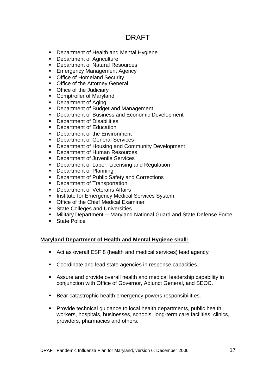- **-** Department of Health and Mental Hygiene
- **-** Department of Agriculture
- **Department of Natural Resources**
- **Emergency Management Agency**
- **Office of Homeland Security**
- **Office of the Attorney General**
- **Office of the Judiciary**
- **-** Comptroller of Maryland
- Department of Aging
- **Department of Budget and Management**
- Department of Business and Economic Development
- **-** Department of Disabilities
- **-** Department of Education
- **Department of the Environment**
- **-** Department of General Services
- Department of Housing and Community Development
- **Department of Human Resources**
- **-** Department of Juvenile Services
- **Department of Labor, Licensing and Regulation**
- Department of Planning
- **-** Department of Public Safety and Corrections
- **Department of Transportation**
- **-** Department of Veterans Affairs
- **Institute for Emergency Medical Services System**
- **Office of the Chief Medical Examiner**
- **State Colleges and Universities**
- Military Department -- Maryland National Guard and State Defense Force
- **State Police**

#### **Maryland Department of Health and Mental Hygiene shall:**

- Act as overall ESF 8 (health and medical services) lead agency.
- **Coordinate and lead state agencies in response capacities.**
- Assure and provide overall health and medical leadership capability in conjunction with Office of Governor, Adjunct General, and SEOC.
- Bear catastrophic health emergency powers responsibilities.
- **Provide technical quidance to local health departments, public health** workers, hospitals, businesses, schools, long-term care facilities, clinics, providers, pharmacies and others.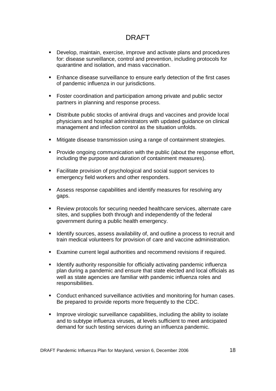- Develop, maintain, exercise, improve and activate plans and procedures for: disease surveillance, control and prevention, including protocols for quarantine and isolation, and mass vaccination.
- **Enhance disease surveillance to ensure early detection of the first cases** of pandemic influenza in our iurisdictions.
- Foster coordination and participation among private and public sector partners in planning and response process.
- Distribute public stocks of antiviral drugs and vaccines and provide local physicians and hospital administrators with updated guidance on clinical management and infection control as the situation unfolds.
- Mitigate disease transmission using a range of containment strategies.
- Provide ongoing communication with the public (about the response effort, including the purpose and duration of containment measures).
- **Facilitate provision of psychological and social support services to** emergency field workers and other responders.
- Assess response capabilities and identify measures for resolving any gaps.
- Review protocols for securing needed healthcare services, alternate care sites, and supplies both through and independently of the federal government during a public health emergency.
- **If Identify sources, assess availability of, and outline a process to recruit and** train medical volunteers for provision of care and vaccine administration.
- Examine current legal authorities and recommend revisions if required.
- **IDENTIFY 19** Identify authority responsible for officially activating pandemic influenza plan during a pandemic and ensure that state elected and local officials as well as state agencies are familiar with pandemic influenza roles and responsibilities.
- Conduct enhanced surveillance activities and monitoring for human cases. Be prepared to provide reports more frequently to the CDC.
- **IMPROVE VITOLOGIC SUITELLANCE CAPABILITIES, including the ability to isolate** and to subtype influenza viruses, at levels sufficient to meet anticipated demand for such testing services during an influenza pandemic.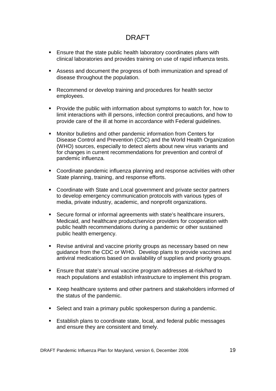- **Ensure that the state public health laboratory coordinates plans with** clinical laboratories and provides training on use of rapid influenza tests.
- Assess and document the progress of both immunization and spread of disease throughout the population.
- Recommend or develop training and procedures for health sector employees.
- **Provide the public with information about symptoms to watch for, how to** limit interactions with ill persons, infection control precautions, and how to provide care of the ill at home in accordance with Federal guidelines.
- Monitor bulletins and other pandemic information from Centers for Disease Control and Prevention (CDC) and the World Health Organization (WHO) sources, especially to detect alerts about new virus variants and for changes in current recommendations for prevention and control of pandemic influenza.
- Coordinate pandemic influenza planning and response activities with other State planning, training, and response efforts.
- Coordinate with State and Local government and private sector partners to develop emergency communication protocols with various types of media, private industry, academic, and nonprofit organizations.
- Secure formal or informal agreements with state's healthcare insurers, Medicaid, and healthcare product/service providers for cooperation with public health recommendations during a pandemic or other sustained public health emergency.
- Revise antiviral and vaccine priority groups as necessary based on new guidance from the CDC or WHO. Develop plans to provide vaccines and antiviral medications based on availability of supplies and priority groups.
- Ensure that state's annual vaccine program addresses at-risk/hard to reach populations and establish infrastructure to implement this program.
- Keep healthcare systems and other partners and stakeholders informed of the status of the pandemic.
- Select and train a primary public spokesperson during a pandemic.
- Establish plans to coordinate state, local, and federal public messages and ensure they are consistent and timely.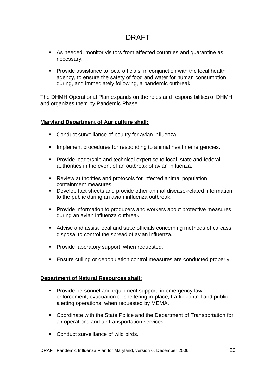- As needed, monitor visitors from affected countries and quarantine as necessary.
- Provide assistance to local officials, in conjunction with the local health agency, to ensure the safety of food and water for human consumption during, and immediately following, a pandemic outbreak.

The DHMH Operational Plan expands on the roles and responsibilities of DHMH and organizes them by Pandemic Phase.

#### **Maryland Department of Agriculture shall:**

- **Conduct surveillance of poultry for avian influenza.**
- **IMPLEMENT IMPLEM** Implement procedures for responding to animal health emergencies.
- **Provide leadership and technical expertise to local, state and federal** authorities in the event of an outbreak of avian influenza.
- Review authorities and protocols for infected animal population containment measures.
- Develop fact sheets and provide other animal disease-related information to the public during an avian influenza outbreak.
- Provide information to producers and workers about protective measures during an avian influenza outbreak.
- Advise and assist local and state officials concerning methods of carcass disposal to control the spread of avian influenza.
- **Provide laboratory support, when requested.**
- **Ensure culling or depopulation control measures are conducted properly.**

#### **Department of Natural Resources shall:**

- Provide personnel and equipment support, in emergency law enforcement, evacuation or sheltering in-place, traffic control and public alerting operations, when requested by MEMA.
- Coordinate with the State Police and the Department of Transportation for air operations and air transportation services.
- Conduct surveillance of wild birds.

DRAFT Pandemic Influenza Plan for Maryland, version 6, December 2006 20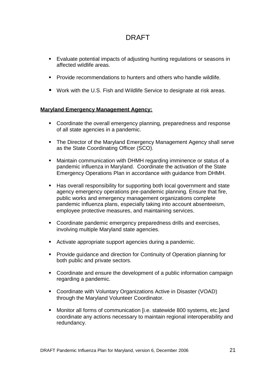- Evaluate potential impacts of adjusting hunting regulations or seasons in affected wildlife areas.
- **Provide recommendations to hunters and others who handle wildlife.**
- Work with the U.S. Fish and Wildlife Service to designate at risk areas.

#### **Maryland Emergency Management Agency:**

- Coordinate the overall emergency planning, preparedness and response of all state agencies in a pandemic.
- The Director of the Maryland Emergency Management Agency shall serve as the State Coordinating Officer (SCO).
- Maintain communication with DHMH regarding imminence or status of a pandemic influenza in Maryland. Coordinate the activation of the State Emergency Operations Plan in accordance with guidance from DHMH.
- Has overall responsibility for supporting both local government and state agency emergency operations pre-pandemic planning. Ensure that fire, public works and emergency management organizations complete pandemic influenza plans, especially taking into account absenteeism, employee protective measures, and maintaining services.
- Coordinate pandemic emergency preparedness drills and exercises, involving multiple Maryland state agencies.
- Activate appropriate support agencies during a pandemic.
- **Provide guidance and direction for Continuity of Operation planning for** both public and private sectors.
- Coordinate and ensure the development of a public information campaign regarding a pandemic.
- Coordinate with Voluntary Organizations Active in Disaster (VOAD) through the Maryland Volunteer Coordinator.
- Monitor all forms of communication [i.e. statewide 800 systems, etc.]and coordinate any actions necessary to maintain regional interoperability and redundancy.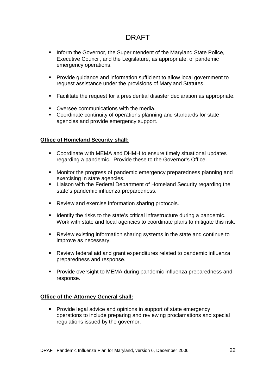- **Inform the Governor, the Superintendent of the Maryland State Police,** Executive Council, and the Legislature, as appropriate, of pandemic emergency operations.
- Provide guidance and information sufficient to allow local government to request assistance under the provisions of Maryland Statutes.
- Facilitate the request for a presidential disaster declaration as appropriate.
- **Coversee communications with the media.**
- Coordinate continuity of operations planning and standards for state agencies and provide emergency support.

#### **Office of Homeland Security shall:**

- Coordinate with MEMA and DHMH to ensure timely situational updates regarding a pandemic. Provide these to the Governor's Office.
- Monitor the progress of pandemic emergency preparedness planning and exercising in state agencies.
- **EXECT** Liaison with the Federal Department of Homeland Security regarding the state's pandemic influenza preparedness.
- **Review and exercise information sharing protocols.**
- **IDENTIFY 19** Identify the risks to the state's critical infrastructure during a pandemic. Work with state and local agencies to coordinate plans to mitigate this risk.
- Review existing information sharing systems in the state and continue to improve as necessary.
- Review federal aid and grant expenditures related to pandemic influenza preparedness and response.
- **Provide oversight to MEMA during pandemic influenza preparedness and** response.

#### **Office of the Attorney General shall:**

**Provide legal advice and opinions in support of state emergency** operations to include preparing and reviewing proclamations and special regulations issued by the governor.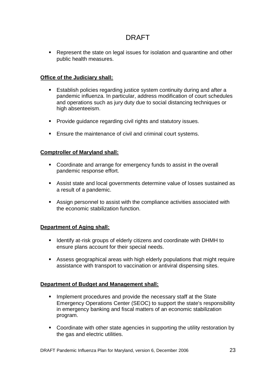• Represent the state on legal issues for isolation and quarantine and other public health measures.

#### **Office of the Judiciary shall:**

- **Establish policies regarding justice system continuity during and after a** pandemic influenza. In particular, address modification of court schedules and operations such as jury duty due to social distancing techniques or high absenteeism.
- **Provide quidance regarding civil rights and statutory issues.**
- **Ensure the maintenance of civil and criminal court systems.**

#### **Comptroller of Maryland shall:**

- Coordinate and arrange for emergency funds to assist in the overall pandemic response effort.
- Assist state and local governments determine value of losses sustained as a result of a pandemic.
- Assign personnel to assist with the compliance activities associated with the economic stabilization function.

#### **Department of Aging shall:**

- **If Identify at-risk groups of elderly citizens and coordinate with DHMH to** ensure plans account for their special needs.
- Assess geographical areas with high elderly populations that might require assistance with transport to vaccination or antiviral dispensing sites.

#### **Department of Budget and Management shall:**

- **IMPLEMENT IMPLEMENT IMPLEM** 1 Implement procedures and provide the necessary staff at the State Emergency Operations Center (SEOC) to support the state's responsibility in emergency banking and fiscal matters of an economic stabilization program.
- Coordinate with other state agencies in supporting the utility restoration by the gas and electric utilities.

DRAFT Pandemic Influenza Plan for Maryland, version 6, December 2006 23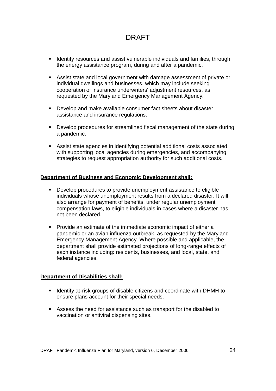- **If Identify resources and assist vulnerable individuals and families, through** the energy assistance program, during and after a pandemic.
- Assist state and local government with damage assessment of private or individual dwellings and businesses, which may include seeking cooperation of insurance underwriters' adjustment resources, as requested by the Maryland Emergency Management Agency.
- **Develop and make available consumer fact sheets about disaster** assistance and insurance regulations.
- Develop procedures for streamlined fiscal management of the state during a pandemic.
- Assist state agencies in identifying potential additional costs associated with supporting local agencies during emergencies, and accompanying strategies to request appropriation authority for such additional costs.

#### **Department of Business and Economic Development shall:**

- Develop procedures to provide unemployment assistance to eligible individuals whose unemployment results from a declared disaster. It will also arrange for payment of benefits, under regular unemployment compensation laws, to eligible individuals in cases where a disaster has not been declared.
- **Provide an estimate of the immediate economic impact of either a** pandemic or an avian influenza outbreak, as requested by the Maryland Emergency Management Agency. Where possible and applicable, the department shall provide estimated projections of long-range effects of each instance including: residents, businesses, and local, state, and federal agencies.

#### **Department of Disabilities shall:**

- **If Identify at-risk groups of disable citizens and coordinate with DHMH to** ensure plans account for their special needs.
- Assess the need for assistance such as transport for the disabled to vaccination or antiviral dispensing sites.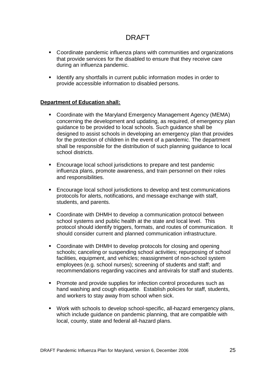- Coordinate pandemic influenza plans with communities and organizations that provide services for the disabled to ensure that they receive care during an influenza pandemic.
- **If all identify any shortfalls in current public information modes in order to** provide accessible information to disabled persons.

#### **Department of Education shall:**

- Coordinate with the Maryland Emergency Management Agency (MEMA) concerning the development and updating, as required, of emergency plan guidance to be provided to local schools. Such guidance shall be designed to assist schools in developing an emergency plan that provides for the protection of children in the event of a pandemic. The department shall be responsible for the distribution of such planning guidance to local school districts.
- **Encourage local school jurisdictions to prepare and test pandemic** influenza plans, promote awareness, and train personnel on their roles and responsibilities.
- Encourage local school jurisdictions to develop and test communications protocols for alerts, notifications, and message exchange with staff, students, and parents.
- Coordinate with DHMH to develop a communication protocol between school systems and public health at the state and local level. This protocol should identify triggers, formats, and routes of communication. It should consider current and planned communication infrastructure.
- Coordinate with DHMH to develop protocols for closing and opening schools; canceling or suspending school activities; repurposing of school facilities, equipment, and vehicles; reassignment of non-school system employees (e.g. school nurses); screening of students and staff; and recommendations regarding vaccines and antivirals for staff and students.
- **Promote and provide supplies for infection control procedures such as** hand washing and cough etiquette. Establish policies for staff, students, and workers to stay away from school when sick.
- Work with schools to develop school-specific, all-hazard emergency plans, which include guidance on pandemic planning, that are compatible with local, county, state and federal all-hazard plans.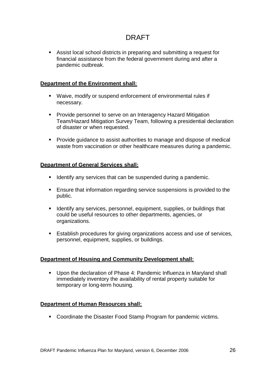Assist local school districts in preparing and submitting a request for financial assistance from the federal government during and after a pandemic outbreak.

#### **Department of the Environment shall:**

- Waive, modify or suspend enforcement of environmental rules if necessary.
- **Provide personnel to serve on an Interagency Hazard Mitigation** Team/Hazard Mitigation Survey Team, following a presidential declaration of disaster or when requested.
- **Provide guidance to assist authorities to manage and dispose of medical** waste from vaccination or other healthcare measures during a pandemic.

#### **Department of General Services shall:**

- I dentify any services that can be suspended during a pandemic.
- **Ensure that information regarding service suspensions is provided to the** public.
- **If Identify any services, personnel, equipment, supplies, or buildings that** could be useful resources to other departments, agencies, or organizations.
- **Establish procedures for giving organizations access and use of services,** personnel, equipment, supplies, or buildings.

#### **Department of Housing and Community Development shall:**

 Upon the declaration of Phase 4: Pandemic Influenza in Maryland shall immediately inventory the availability of rental property suitable for temporary or long-term housing.

#### **Department of Human Resources shall:**

**Coordinate the Disaster Food Stamp Program for pandemic victims.**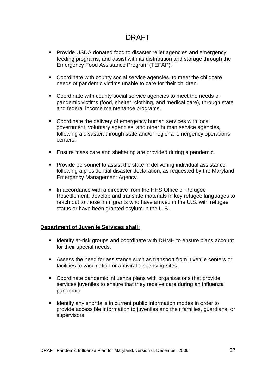- **Provide USDA donated food to disaster relief agencies and emergency** feeding programs, and assist with its distribution and storage through the Emergency Food Assistance Program (TEFAP).
- Coordinate with county social service agencies, to meet the childcare needs of pandemic victims unable to care for their children.
- Coordinate with county social service agencies to meet the needs of pandemic victims (food, shelter, clothing, and medical care), through state and federal income maintenance programs.
- Coordinate the delivery of emergency human services with local government, voluntary agencies, and other human service agencies, following a disaster, through state and/or regional emergency operations centers.
- Ensure mass care and sheltering are provided during a pandemic.
- **Provide personnel to assist the state in delivering individual assistance** following a presidential disaster declaration, as requested by the Maryland Emergency Management Agency.
- In accordance with a directive from the HHS Office of Refugee Resettlement, develop and translate materials in key refugee languages to reach out to those immigrants who have arrived in the U.S. with refugee status or have been granted asylum in the U.S.

#### **Department of Juvenile Services shall:**

- **If Identify at-risk groups and coordinate with DHMH to ensure plans account** for their special needs.
- Assess the need for assistance such as transport from juvenile centers or facilities to vaccination or antiviral dispensing sites.
- Coordinate pandemic influenza plans with organizations that provide services juveniles to ensure that they receive care during an influenza pandemic.
- If Identify any shortfalls in current public information modes in order to provide accessible information to juveniles and their families, guardians, or supervisors.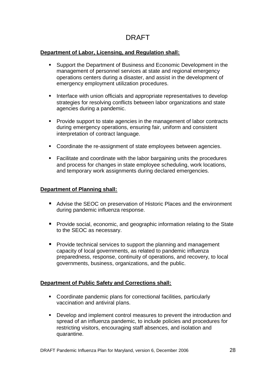#### **Department of Labor, Licensing, and Regulation shall:**

- Support the Department of Business and Economic Development in the management of personnel services at state and regional emergency operations centers during a disaster, and assist in the development of emergency employment utilization procedures.
- Interface with union officials and appropriate representatives to develop strategies for resolving conflicts between labor organizations and state agencies during a pandemic.
- Provide support to state agencies in the management of labor contracts during emergency operations, ensuring fair, uniform and consistent interpretation of contract language.
- Coordinate the re-assignment of state employees between agencies.
- Facilitate and coordinate with the labor bargaining units the procedures and process for changes in state employee scheduling, work locations, and temporary work assignments during declared emergencies.

#### **Department of Planning shall:**

- Advise the SEOC on preservation of Historic Places and the environment during pandemic influenza response.
- **Provide social, economic, and geographic information relating to the State** to the SEOC as necessary.
- **Provide technical services to support the planning and management** capacity of local governments, as related to pandemic influenza preparedness, response, continuity of operations, and recovery, to local governments, business, organizations, and the public.

#### **Department of Public Safety and Corrections shall:**

- Coordinate pandemic plans for correctional facilities, particularly vaccination and antiviral plans.
- **Develop and implement control measures to prevent the introduction and** spread of an influenza pandemic, to include policies and procedures for restricting visitors, encouraging staff absences, and isolation and quarantine.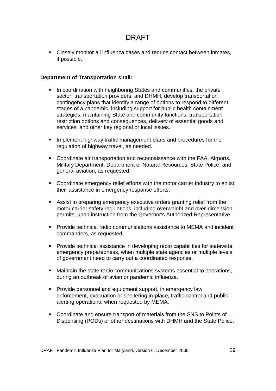Closely monitor all influenza cases and reduce contact between inmates, if possible.

#### **Department of Transportation shall:**

- In coordination with neighboring States and communities, the private sector, transportation providers, and DHMH, develop transportation contingency plans that identify a range of options to respond to different stages of a pandemic, including support for public health containment strategies, maintaining State and community functions, transportation restriction options and consequences, delivery of essential goods and services, and other key regional or local issues.
- **IMPLEMENT IMPLEMENT IN A THE MANUS IMPLEMENT IMPLEMENT IMPLEMENT IMPLEMENT IMPLEMENT IMPLEMENT IMPLEMENT IMPLEMENT IMPLEMENT IMPLEMENT IMPLEMENT IMPLEMENT IMPLEMENT IMPLEMENT IMPLEMENT IMPLEMENT IMPLEMENT IMPLEMENT IMPLEM** regulation of highway travel, as needed.
- Coordinate air transportation and reconnaissance with the FAA, Airports, Military Department, Department of Natural Resources, State Police, and general aviation, as requested.
- Coordinate emergency relief efforts with the motor carrier industry to enlist their assistance in emergency response efforts.
- Assist in preparing emergency executive orders granting relief from the motor carrier safety regulations, including overweight and over-dimension permits, upon instruction from the Governor's Authorized Representative.
- Provide technical radio communications assistance to MEMA and incident commanders, as requested.
- **Provide technical assistance in developing radio capabilities for statewide** emergency preparedness, when multiple state agencies or multiple levels of government need to carry out a coordinated response.
- Maintain the state radio communications systems essential to operations, during an outbreak of avian or pandemic influenza.
- **Provide personnel and equipment support, in emergency law** enforcement, evacuation or sheltering in-place, traffic control and public alerting operations, when requested by MEMA.
- Coordinate and ensure transport of materials from the SNS to Points of Dispensing (PODs) or other destinations with DHMH and the State Police.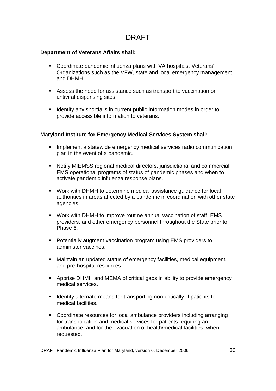#### **Department of Veterans Affairs shall:**

- Coordinate pandemic influenza plans with VA hospitals, Veterans' Organizations such as the VFW, state and local emergency management and DHMH.
- Assess the need for assistance such as transport to vaccination or antiviral dispensing sites.
- I Identify any shortfalls in current public information modes in order to provide accessible information to veterans.

#### **Maryland Institute for Emergency Medical Services System shall:**

- **IMPLEMENT ASSET IMPLEM IMPLEM IMPLEM EMBLEM EMBLEM EMBLEM EMBLEM EMBLEM EMBLEM EMBLEM EMBLEM EMBLEM EMBLEM EMBLEM EMBLEM EMBLEM EMBLEM EMBLEM EMBLEM EMBLEM EMBLEM EMBLEM EMBLEM** plan in the event of a pandemic.
- Notify MIEMSS regional medical directors, jurisdictional and commercial EMS operational programs of status of pandemic phases and when to activate pandemic influenza response plans.
- Work with DHMH to determine medical assistance guidance for local authorities in areas affected by a pandemic in coordination with other state agencies.
- Work with DHMH to improve routine annual vaccination of staff, EMS providers, and other emergency personnel throughout the State prior to Phase 6.
- **Potentially augment vaccination program using EMS providers to** administer vaccines.
- Maintain an updated status of emergency facilities, medical equipment, and pre-hospital resources.
- Apprise DHMH and MEMA of critical gaps in ability to provide emergency medical services.
- **If Identify alternate means for transporting non-critically ill patients to** medical facilities.
- Coordinate resources for local ambulance providers including arranging for transportation and medical services for patients requiring an ambulance, and for the evacuation of health/medical facilities, when requested.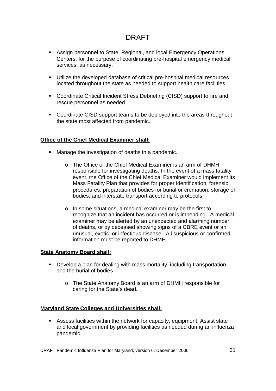- Assign personnel to State, Regional, and local Emergency Operations Centers, for the purpose of coordinating pre-hospital emergency medical services, as necessary.
- Utilize the developed database of critical pre-hospital medical resources located throughout the state as needed to support health care facilities.
- Coordinate Critical Incident Stress Debriefing (CISD) support to fire and rescue personnel as needed.
- Coordinate CISD support teams to be deployed into the areas throughout the state most affected from pandemic.

#### **Office of the Chief Medical Examiner shall:**

- Manage the investigation of deaths in a pandemic.
	- o The Office of the Chief Medical Examiner is an arm of DHMH responsible for investigating deaths. In the event of a mass fatality event, the Office of the Chief Medical Examiner would implement its Mass Fatality Plan that provides for proper identification, forensic procedures, preparation of bodies for burial or cremation, storage of bodies, and interstate transport according to protocols.
	- o In some situations, a medical examiner may be the first to recognize that an incident has occurred or is impending. A medical examiner may be alerted by an unexpected and alarming number of deaths, or by deceased showing signs of a CBRE event or an unusual, exotic, or infectious disease. All suspicious or confirmed information must be reported to DHMH.

#### **State Anatomy Board shall:**

- Develop a plan for dealing with mass mortality, including transportation and the burial of bodies.
	- o The State Anatomy Board is an arm of DHMH responsible for caring for the State's dead.

#### **Maryland State Colleges and Universities shall:**

 Assess facilities within the network for capacity, equipment. Assist state and local government by providing facilities as needed during an influenza pandemic.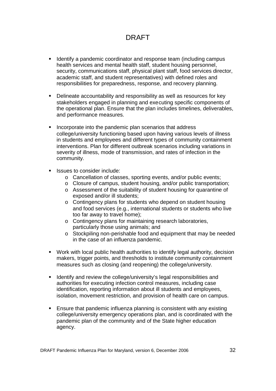- **If Identify a pandemic coordinator and response team (including campus** health services and mental health staff, student housing personnel. security, communications staff, physical plant staff, food services director, academic staff, and student representatives) with defined roles and responsibilities for preparedness, response, and recovery planning.
- Delineate accountability and responsibility as well as resources for key stakeholders engaged in planning and executing specific components of the operational plan. Ensure that the plan includes timelines, deliverables, and performance measures.
- **Incorporate into the pandemic plan scenarios that address** college/university functioning based upon having various levels of illness in students and employees and different types of community containment interventions. Plan for different outbreak scenarios including variations in severity of illness, mode of transmission, and rates of infection in the community.
- Issues to consider include:
	- o Cancellation of classes, sporting events, and/or public events;
	- o Closure of campus, student housing, and/or public transportation;
	- o Assessment of the suitability of student housing for quarantine of exposed and/or ill students;
	- o Contingency plans for students who depend on student housing and food services (e.g., international students or students who live too far away to travel home);
	- o Contingency plans for maintaining research laboratories, particularly those using animals; and
	- o Stockpiling non-perishable food and equipment that may be needed in the case of an influenza pandemic.
- Work with local public health authorities to identify legal authority, decision makers, trigger points, and thresholds to institute community containment measures such as closing (and reopening) the college/university.
- **If Identify and review the college/university's legal responsibilities and** authorities for executing infection control measures, including case identification, reporting information about ill students and employees, isolation, movement restriction, and provision of health care on campus.
- Ensure that pandemic influenza planning is consistent with any existing college/university emergency operations plan, and is coordinated with the pandemic plan of the community and of the State higher education agency.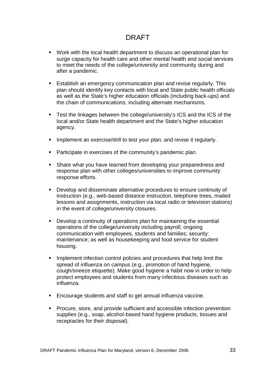- Work with the local health department to discuss an operational plan for surge capacity for health care and other mental health and social services to meet the needs of the college/university and community during and after a pandemic.
- **Establish an emergency communication plan and revise regularly. This** plan should identify key contacts with local and State public health officials as well as the State's higher education officials (including back-ups) and the chain of communications, including alternate mechanisms.
- Test the linkages between the college/university's ICS and the ICS of the local and/or State health department and the State's higher education agency.
- **IMPLEMENT And EXELGE** in the test your plan, and revise it regularly.
- **Participate in exercises of the community's pandemic plan.**
- **Share what you have learned from developing your preparedness and** response plan with other colleges/universities to improve community response efforts.
- Develop and disseminate alternative procedures to ensure continuity of instruction (e.g., web-based distance instruction, telephone trees, mailed lessons and assignments, instruction via local radio or television stations) in the event of college/university closures.
- Develop a continuity of operations plan for maintaining the essential operations of the college/university including payroll; ongoing communication with employees, students and families; security; maintenance; as well as housekeeping and food service for student housing.
- **IMPLEMENT INTEGRATE:** Implement infection control policies and procedures that help limit the spread of influenza on campus (e.g., promotion of hand hygiene, cough/sneeze etiquette). Make good hygiene a habit now in order to help protect employees and students from many infectious diseases such as influenza.
- **Encourage students and staff to get annual influenza vaccine.**
- **Procure, store, and provide sufficient and accessible infection prevention** supplies (e.g., soap, alcohol-based hand hygiene products, tissues and receptacles for their disposal).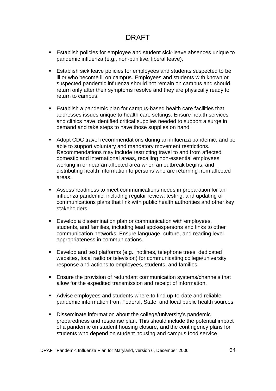- Establish policies for employee and student sick-leave absences unique to pandemic influenza (e.g., non-punitive, liberal leave).
- **Establish sick leave policies for employees and students suspected to be** ill or who become ill on campus. Employees and students with known or suspected pandemic influenza should not remain on campus and should return only after their symptoms resolve and they are physically ready to return to campus.
- Establish a pandemic plan for campus-based health care facilities that addresses issues unique to health care settings. Ensure health services and clinics have identified critical supplies needed to support a surge in demand and take steps to have those supplies on hand.
- Adopt CDC travel recommendations during an influenza pandemic, and be able to support voluntary and mandatory movement restrictions. Recommendations may include restricting travel to and from affected domestic and international areas, recalling non-essential employees working in or near an affected area when an outbreak begins, and distributing health information to persons who are returning from affected areas.
- Assess readiness to meet communications needs in preparation for an influenza pandemic, including regular review, testing, and updating of communications plans that link with public health authorities and other key stakeholders.
- Develop a dissemination plan or communication with employees, students, and families, including lead spokespersons and links to other communication networks. Ensure language, culture, and reading level appropriateness in communications.
- **Develop and test platforms (e.g., hotlines, telephone trees, dedicated** websites, local radio or television) for communicating college/university response and actions to employees, students, and families.
- Ensure the provision of redundant communication systems/channels that allow for the expedited transmission and receipt of information.
- Advise employees and students where to find up-to-date and reliable pandemic information from Federal, State, and local public health sources.
- Disseminate information about the college/university's pandemic preparedness and response plan. This should include the potential impact of a pandemic on student housing closure, and the contingency plans for students who depend on student housing and campus food service,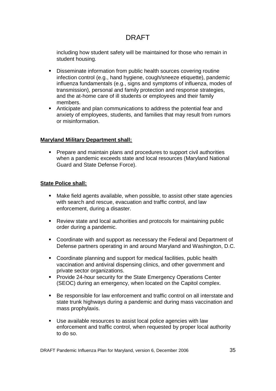including how student safety will be maintained for those who remain in student housing.

- Disseminate information from public health sources covering routine infection control (e.g., hand hygiene, cough/sneeze etiquette), pandemic influenza fundamentals (e.g., signs and symptoms of influenza, modes of transmission), personal and family protection and response strategies, and the at-home care of ill students or employees and their family members.
- Anticipate and plan communications to address the potential fear and anxiety of employees, students, and families that may result from rumors or misinformation.

#### **Maryland Military Department shall:**

 Prepare and maintain plans and procedures to support civil authorities when a pandemic exceeds state and local resources (Maryland National Guard and State Defense Force).

#### **State Police shall:**

- Make field agents available, when possible, to assist other state agencies with search and rescue, evacuation and traffic control, and law enforcement, during a disaster.
- Review state and local authorities and protocols for maintaining public order during a pandemic.
- Coordinate with and support as necessary the Federal and Department of Defense partners operating in and around Maryland and Washington, D.C.
- Coordinate planning and support for medical facilities, public health vaccination and antiviral dispensing clinics, and other government and private sector organizations.
- **Provide 24-hour security for the State Emergency Operations Center** (SEOC) during an emergency, when located on the Capitol complex.
- Be responsible for law enforcement and traffic control on all interstate and state trunk highways during a pandemic and during mass vaccination and mass prophylaxis.
- Use available resources to assist local police agencies with law enforcement and traffic control, when requested by proper local authority to do so.

DRAFT Pandemic Influenza Plan for Maryland, version 6, December 2006 35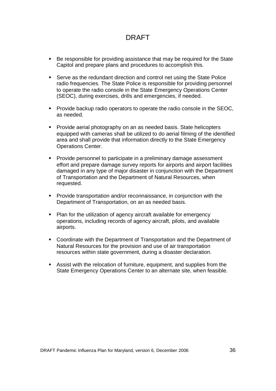- Be responsible for providing assistance that may be required for the State Capitol and prepare plans and procedures to accomplish this.
- Serve as the redundant direction and control net using the State Police radio frequencies. The State Police is responsible for providing personnel to operate the radio console in the State Emergency Operations Center (SEOC), during exercises, drills and emergencies, if needed.
- **Provide backup radio operators to operate the radio console in the SEOC,** as needed.
- **Provide aerial photography on an as needed basis. State helicopters** equipped with cameras shall be utilized to do aerial filming of the identified area and shall provide that information directly to the State Emergency Operations Center.
- **Provide personnel to participate in a preliminary damage assessment** effort and prepare damage survey reports for airports and airport facilities damaged in any type of major disaster in conjunction with the Department of Transportation and the Department of Natural Resources, when requested.
- **Provide transportation and/or reconnaissance, in conjunction with the** Department of Transportation, on an as needed basis.
- Plan for the utilization of agency aircraft available for emergency operations, including records of agency aircraft, pilots, and available airports.
- Coordinate with the Department of Transportation and the Department of Natural Resources for the provision and use of air transportation resources within state government, during a disaster declaration.
- Assist with the relocation of furniture, equipment, and supplies from the State Emergency Operations Center to an alternate site, when feasible.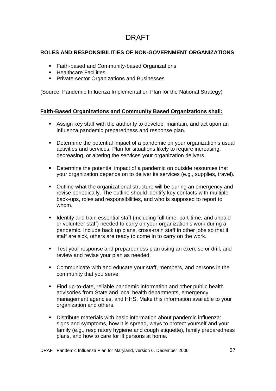#### **ROLES AND RESPONSIBILITIES OF NON-GOVERNMENT ORGANIZATIONS**

- **Faith-based and Community-based Organizations**
- **E** Healthcare Facilities
- **Private-sector Organizations and Businesses**

(Source: Pandemic Influenza Implementation Plan for the National Strategy)

#### **Faith-Based Organizations and Community Based Organizations shall:**

- Assign key staff with the authority to develop, maintain, and act upon an influenza pandemic preparedness and response plan.
- Determine the potential impact of a pandemic on your organization's usual activities and services. Plan for situations likely to require increasing, decreasing, or altering the services your organization delivers.
- Determine the potential impact of a pandemic on outside resources that your organization depends on to deliver its services (e.g., supplies, travel).
- Outline what the organizational structure will be during an emergency and revise periodically. The outline should identify key contacts with multiple back-ups, roles and responsibilities, and who is supposed to report to whom.
- **If Identify and train essential staff (including full-time, part-time, and unpaid global** or volunteer staff) needed to carry on your organization's work during a pandemic. Include back up plans, cross-train staff in other jobs so that if staff are sick, others are ready to come in to carry on the work.
- **Test your response and preparedness plan using an exercise or drill, and** review and revise your plan as needed.
- Communicate with and educate your staff, members, and persons in the community that you serve.
- Find up-to-date, reliable pandemic information and other public health advisories from State and local health departments, emergency management agencies, and HHS. Make this information available to your organization and others.
- Distribute materials with basic information about pandemic influenza: signs and symptoms, how it is spread, ways to protect yourself and your family (e.g., respiratory hygiene and cough etiquette), family preparedness plans, and how to care for ill persons at home.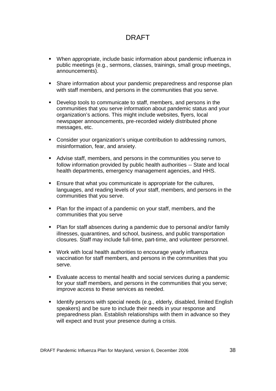- When appropriate, include basic information about pandemic influenza in public meetings (e.g., sermons, classes, trainings, small group meetings, announcements).
- Share information about your pandemic preparedness and response plan with staff members, and persons in the communities that you serve.
- Develop tools to communicate to staff, members, and persons in the communities that you serve information about pandemic status and your organization's actions. This might include websites, flyers, local newspaper announcements, pre-recorded widely distributed phone messages, etc.
- Consider your organization's unique contribution to addressing rumors, misinformation, fear, and anxiety.
- Advise staff, members, and persons in the communities you serve to follow information provided by public health authorities -- State and local health departments, emergency management agencies, and HHS.
- **Ensure that what you communicate is appropriate for the cultures,** languages, and reading levels of your staff, members, and persons in the communities that you serve.
- **Plan for the impact of a pandemic on your staff, members, and the** communities that you serve
- Plan for staff absences during a pandemic due to personal and/or family illnesses, quarantines, and school, business, and public transportation closures. Staff may include full-time, part-time, and volunteer personnel.
- Work with local health authorities to encourage yearly influenza vaccination for staff members, and persons in the communities that you serve.
- Evaluate access to mental health and social services during a pandemic for your staff members, and persons in the communities that you serve; improve access to these services as needed.
- I Identify persons with special needs (e.g., elderly, disabled, limited English speakers) and be sure to include their needs in your response and preparedness plan. Establish relationships with them in advance so they will expect and trust your presence during a crisis.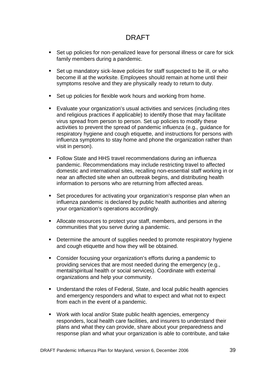- Set up policies for non-penalized leave for personal illness or care for sick family members during a pandemic.
- Set up mandatory sick-leave policies for staff suspected to be ill, or who become ill at the worksite. Employees should remain at home until their symptoms resolve and they are physically ready to return to duty.
- Set up policies for flexible work hours and working from home.
- Evaluate your organization's usual activities and services (including rites and religious practices if applicable) to identify those that may facilitate virus spread from person to person. Set up policies to modify these activities to prevent the spread of pandemic influenza (e.g., guidance for respiratory hygiene and cough etiquette, and instructions for persons with influenza symptoms to stay home and phone the organization rather than visit in person).
- **Follow State and HHS travel recommendations during an influenza** pandemic. Recommendations may include restricting travel to affected domestic and international sites, recalling non-essential staff working in or near an affected site when an outbreak begins, and distributing health information to persons who are returning from affected areas.
- Set procedures for activating your organization's response plan when an influenza pandemic is declared by public health authorities and altering your organization's operations accordingly.
- Allocate resources to protect your staff, members, and persons in the communities that you serve during a pandemic.
- **•** Determine the amount of supplies needed to promote respiratory hygiene and cough etiquette and how they will be obtained.
- Consider focusing your organization's efforts during a pandemic to providing services that are most needed during the emergency (e.g., mental/spiritual health or social services). Coordinate with external organizations and help your community.
- Understand the roles of Federal, State, and local public health agencies and emergency responders and what to expect and what not to expect from each in the event of a pandemic.
- Work with local and/or State public health agencies, emergency responders, local health care facilities, and insurers to understand their plans and what they can provide, share about your preparedness and response plan and what your organization is able to contribute, and take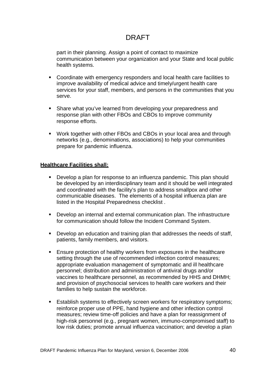part in their planning. Assign a point of contact to maximize communication between your organization and your State and local public health systems.

- Coordinate with emergency responders and local health care facilities to improve availability of medical advice and timely/urgent health care services for your staff, members, and persons in the communities that you serve.
- **Share what you've learned from developing your preparedness and** response plan with other FBOs and CBOs to improve community response efforts.
- Work together with other FBOs and CBOs in your local area and through networks (e.g., denominations, associations) to help your communities prepare for pandemic influenza.

#### **Healthcare Facilities shall:**

- Develop a plan for response to an influenza pandemic. This plan should be developed by an interdisciplinary team and it should be well integrated and coordinated with the facility's plan to address smallpox and other communicable diseases. The elements of a hospital influenza plan are listed in the Hospital Preparedness checklist .
- Develop an internal and external communication plan. The infrastructure for communication should follow the Incident Command System.
- Develop an education and training plan that addresses the needs of staff, patients, family members, and visitors.
- **Ensure protection of healthy workers from exposures in the healthcare** setting through the use of recommended infection control measures; appropriate evaluation management of symptomatic and ill healthcare personnel; distribution and administration of antiviral drugs and/or vaccines to healthcare personnel, as recommended by HHS and DHMH; and provision of psychosocial services to health care workers and their families to help sustain the workforce.
- **Establish systems to effectively screen workers for respiratory symptoms;** reinforce proper use of PPE, hand hygiene and other infection control measures; review time-off policies and have a plan for reassignment of high-risk personnel (e.g., pregnant women, immuno-compromised staff) to low risk duties; promote annual influenza vaccination; and develop a plan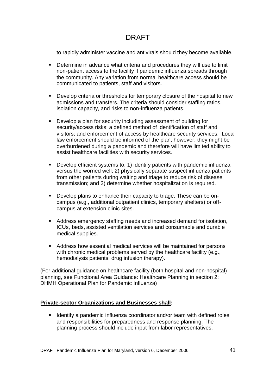to rapidly administer vaccine and antivirals should they become available.

- Determine in advance what criteria and procedures they will use to limit non-patient access to the facility if pandemic influenza spreads through the community. Any variation from normal healthcare access should be communicated to patients, staff and visitors.
- Develop criteria or thresholds for temporary closure of the hospital to new admissions and transfers. The criteria should consider staffing ratios, isolation capacity, and risks to non-influenza patients.
- Develop a plan for security including assessment of building for security/access risks; a defined method of identification of staff and visitors; and enforcement of access by healthcare security services. Local law enforcement should be informed of the plan, however; they might be overburdened during a pandemic and therefore will have limited ability to assist healthcare facilities with security services.
- Develop efficient systems to: 1) identify patients with pandemic influenza versus the worried well; 2) physically separate suspect influenza patients from other patients during waiting and triage to reduce risk of disease transmission; and 3) determine whether hospitalization is required.
- Develop plans to enhance their capacity to triage. These can be oncampus (e.g., additional outpatient clinics, temporary shelters) or offcampus at extension clinic sites.
- Address emergency staffing needs and increased demand for isolation, ICUs, beds, assisted ventilation services and consumable and durable medical supplies.
- Address how essential medical services will be maintained for persons with chronic medical problems served by the healthcare facility (e.g., hemodialysis patients, drug infusion therapy).

(For additional guidance on healthcare facility (both hospital and non-hospital) planning, see Functional Area Guidance: Healthcare Planning in section 2: DHMH Operational Plan for Pandemic Influenza)

#### **Private-sector Organizations and Businesses shall:**

 Identify a pandemic influenza coordinator and/or team with defined roles and responsibilities for preparedness and response planning. The planning process should include input from labor representatives.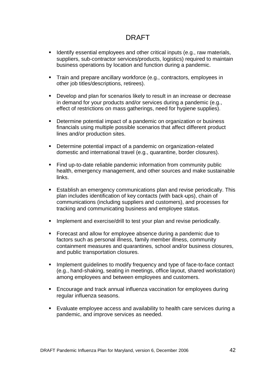- I dentify essential employees and other critical inputs (e.g., raw materials, suppliers, sub-contractor services/products, logistics) required to maintain business operations by location and function during a pandemic.
- Train and prepare ancillary workforce (e.g., contractors, employees in other job titles/descriptions, retirees).
- Develop and plan for scenarios likely to result in an increase or decrease in demand for your products and/or services during a pandemic (e.g., effect of restrictions on mass gatherings, need for hygiene supplies).
- Determine potential impact of a pandemic on organization or business financials using multiple possible scenarios that affect different product lines and/or production sites.
- Determine potential impact of a pandemic on organization-related domestic and international travel (e.g., quarantine, border closures).
- Find up-to-date reliable pandemic information from community public health, emergency management, and other sources and make sustainable links.
- Establish an emergency communications plan and revise periodically. This plan includes identification of key contacts (with back-ups), chain of communications (including suppliers and customers), and processes for tracking and communicating business and employee status.
- Implement and exercise/drill to test your plan and revise periodically.
- **Forecast and allow for employee absence during a pandemic due to** factors such as personal illness, family member illness, community containment measures and quarantines, school and/or business closures, and public transportation closures.
- **IMPLEMENT IMPLEM** Implement guidelines to modify frequency and type of face-to-face contact (e.g., hand-shaking, seating in meetings, office layout, shared workstation) among employees and between employees and customers.
- Encourage and track annual influenza vaccination for employees during regular influenza seasons.
- Evaluate employee access and availability to health care services during a pandemic, and improve services as needed.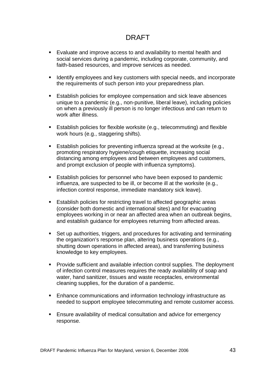- Evaluate and improve access to and availability to mental health and social services during a pandemic, including corporate, community, and faith-based resources, and improve services as needed.
- I Identify employees and key customers with special needs, and incorporate the requirements of such person into your preparedness plan.
- **Establish policies for employee compensation and sick leave absences** unique to a pandemic (e.g., non-punitive, liberal leave), including policies on when a previously ill person is no longer infectious and can return to work after illness.
- Establish policies for flexible worksite (e.g., telecommuting) and flexible work hours (e.g., staggering shifts).
- **Establish policies for preventing influenza spread at the worksite (e.g., I)** promoting respiratory hygiene/cough etiquette, increasing social distancing among employees and between employees and customers, and prompt exclusion of people with influenza symptoms).
- **Establish policies for personnel who have been exposed to pandemic** influenza, are suspected to be ill, or become ill at the worksite (e.g., infection control response, immediate mandatory sick leave).
- **Establish policies for restricting travel to affected geographic areas** (consider both domestic and international sites) and for evacuating employees working in or near an affected area when an outbreak begins, and establish guidance for employees returning from affected areas.
- Set up authorities, triggers, and procedures for activating and terminating the organization's response plan, altering business operations (e.g., shutting down operations in affected areas), and transferring business knowledge to key employees.
- **Provide sufficient and available infection control supplies. The deployment** of infection control measures requires the ready availability of soap and water, hand sanitizer, tissues and waste receptacles, environmental cleaning supplies, for the duration of a pandemic.
- Enhance communications and information technology infrastructure as needed to support employee telecommuting and remote customer access.
- Ensure availability of medical consultation and advice for emergency response.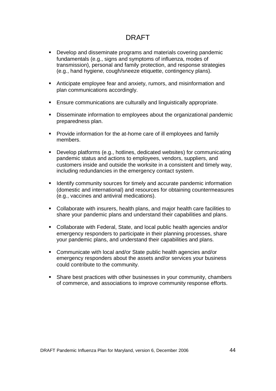- Develop and disseminate programs and materials covering pandemic fundamentals (e.g., signs and symptoms of influenza, modes of transmission), personal and family protection, and response strategies (e.g., hand hygiene, cough/sneeze etiquette, contingency plans).
- Anticipate employee fear and anxiety, rumors, and misinformation and plan communications accordingly.
- Ensure communications are culturally and linguistically appropriate.
- Disseminate information to employees about the organizational pandemic preparedness plan.
- **Provide information for the at-home care of ill employees and family** members.
- Develop platforms (e.g., hotlines, dedicated websites) for communicating pandemic status and actions to employees, vendors, suppliers, and customers inside and outside the worksite in a consistent and timely way, including redundancies in the emergency contact system.
- **I** Identify community sources for timely and accurate pandemic information (domestic and international) and resources for obtaining countermeasures (e.g., vaccines and antiviral medications).
- Collaborate with insurers, health plans, and major health care facilities to share your pandemic plans and understand their capabilities and plans.
- Collaborate with Federal, State, and local public health agencies and/or emergency responders to participate in their planning processes, share your pandemic plans, and understand their capabilities and plans.
- Communicate with local and/or State public health agencies and/or emergency responders about the assets and/or services your business could contribute to the community.
- Share best practices with other businesses in your community, chambers of commerce, and associations to improve community response efforts.